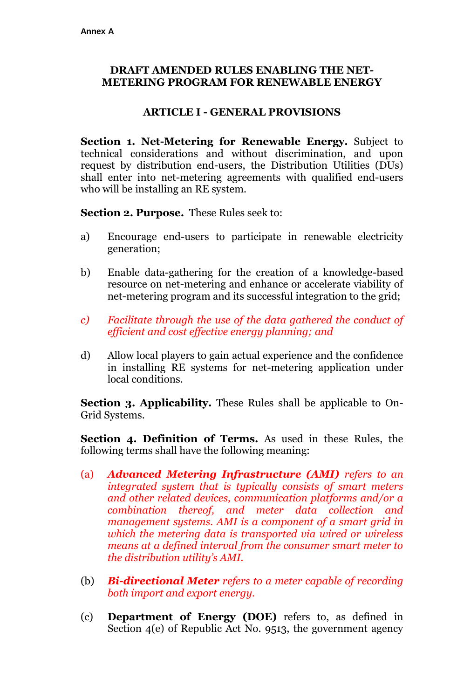### **DRAFT AMENDED RULES ENABLING THE NET-METERING PROGRAM FOR RENEWABLE ENERGY**

#### **ARTICLE I - GENERAL PROVISIONS**

**Section 1. Net-Metering for Renewable Energy.** Subject to technical considerations and without discrimination, and upon request by distribution end-users, the Distribution Utilities (DUs) shall enter into net-metering agreements with qualified end-users who will be installing an RE system.

**Section 2. Purpose.** These Rules seek to:

- a) Encourage end-users to participate in renewable electricity generation;
- b) Enable data-gathering for the creation of a knowledge-based resource on net-metering and enhance or accelerate viability of net-metering program and its successful integration to the grid;
- *c) Facilitate through the use of the data gathered the conduct of efficient and cost effective energy planning; and*
- d) Allow local players to gain actual experience and the confidence in installing RE systems for net-metering application under local conditions.

**Section 3. Applicability.** These Rules shall be applicable to On-Grid Systems.

**Section 4. Definition of Terms.** As used in these Rules, the following terms shall have the following meaning:

- (a) *Advanced Metering Infrastructure (AMI) refers to an integrated system that is typically consists of smart meters and other related devices, communication platforms and/or a combination thereof, and meter data collection and management systems. AMI is a component of a smart grid in which the metering data is transported via wired or wireless means at a defined interval from the consumer smart meter to the distribution utility's AMI.*
- (b) *Bi-directional Meter refers to a meter capable of recording both import and export energy.*
- (c) **Department of Energy (DOE)** refers to, as defined in Section 4(e) of Republic Act No. 9513, the government agency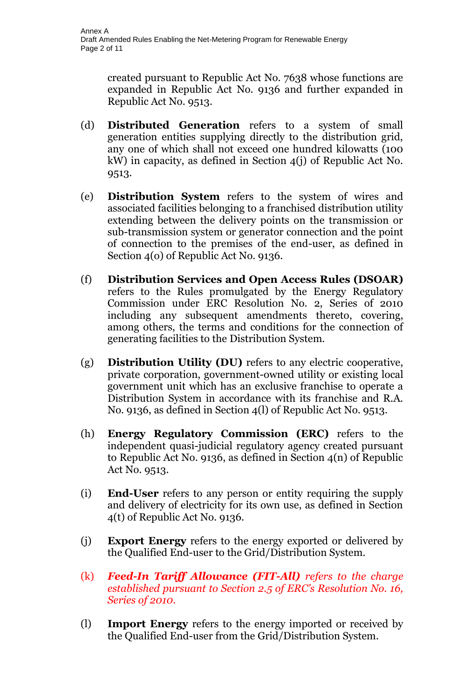created pursuant to Republic Act No. 7638 whose functions are expanded in Republic Act No. 9136 and further expanded in Republic Act No. 9513.

- (d) **Distributed Generation** refers to a system of small generation entities supplying directly to the distribution grid, any one of which shall not exceed one hundred kilowatts (100 kW) in capacity, as defined in Section 4(j) of Republic Act No. 9513.
- (e) **Distribution System** refers to the system of wires and associated facilities belonging to a franchised distribution utility extending between the delivery points on the transmission or sub-transmission system or generator connection and the point of connection to the premises of the end-user, as defined in Section 4(o) of Republic Act No. 9136.
- (f) **Distribution Services and Open Access Rules (DSOAR)** refers to the Rules promulgated by the Energy Regulatory Commission under ERC Resolution No. 2, Series of 2010 including any subsequent amendments thereto, covering, among others, the terms and conditions for the connection of generating facilities to the Distribution System.
- (g) **Distribution Utility (DU)** refers to any electric cooperative, private corporation, government-owned utility or existing local government unit which has an exclusive franchise to operate a Distribution System in accordance with its franchise and R.A. No. 9136, as defined in Section 4(l) of Republic Act No. 9513.
- (h) **Energy Regulatory Commission (ERC)** refers to the independent quasi-judicial regulatory agency created pursuant to Republic Act No. 9136, as defined in Section 4(n) of Republic Act No. 9513.
- (i) **End-User** refers to any person or entity requiring the supply and delivery of electricity for its own use, as defined in Section 4(t) of Republic Act No. 9136.
- (j) **Export Energy** refers to the energy exported or delivered by the Qualified End-user to the Grid/Distribution System.
- (k) *Feed-In Tariff Allowance (FIT-All) refers to the charge established pursuant to Section 2.5 of ERC's Resolution No. 16, Series of 2010.*
- (l) **Import Energy** refers to the energy imported or received by the Qualified End-user from the Grid/Distribution System.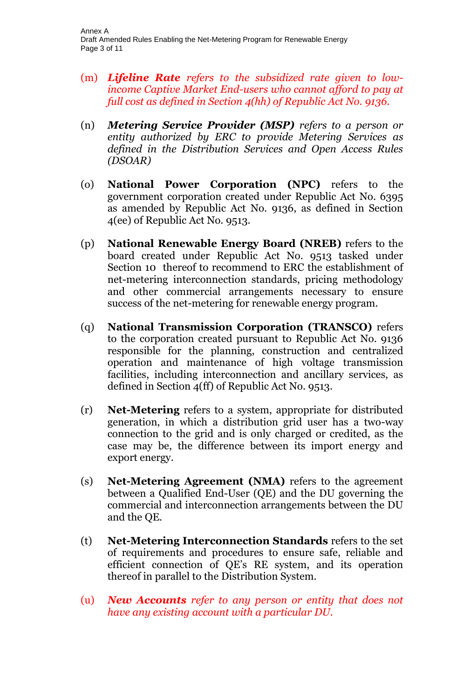- (m) *Lifeline Rate refers to the subsidized rate given to lowincome Captive Market End-users who cannot afford to pay at full cost as defined in Section 4(hh) of Republic Act No. 9136.*
- (n) *Metering Service Provider (MSP) refers to a person or entity authorized by ERC to provide Metering Services as defined in the Distribution Services and Open Access Rules (DSOAR)*
- (o) **National Power Corporation (NPC)** refers to the government corporation created under Republic Act No. 6395 as amended by Republic Act No. 9136, as defined in Section 4(ee) of Republic Act No. 9513.
- (p) **National Renewable Energy Board (NREB)** refers to the board created under Republic Act No. 9513 tasked under Section 10 thereof to recommend to ERC the establishment of net-metering interconnection standards, pricing methodology and other commercial arrangements necessary to ensure success of the net-metering for renewable energy program.
- (q) **National Transmission Corporation (TRANSCO)** refers to the corporation created pursuant to Republic Act No. 9136 responsible for the planning, construction and centralized operation and maintenance of high voltage transmission facilities, including interconnection and ancillary services, as defined in Section 4(ff) of Republic Act No. 9513.
- (r) **Net-Metering** refers to a system, appropriate for distributed generation, in which a distribution grid user has a two-way connection to the grid and is only charged or credited, as the case may be, the difference between its import energy and export energy.
- (s) **Net-Metering Agreement (NMA)** refers to the agreement between a Qualified End-User (QE) and the DU governing the commercial and interconnection arrangements between the DU and the QE.
- (t) **Net-Metering Interconnection Standards** refers to the set of requirements and procedures to ensure safe, reliable and efficient connection of QE's RE system, and its operation thereof in parallel to the Distribution System.
- (u) *New Accounts refer to any person or entity that does not have any existing account with a particular DU.*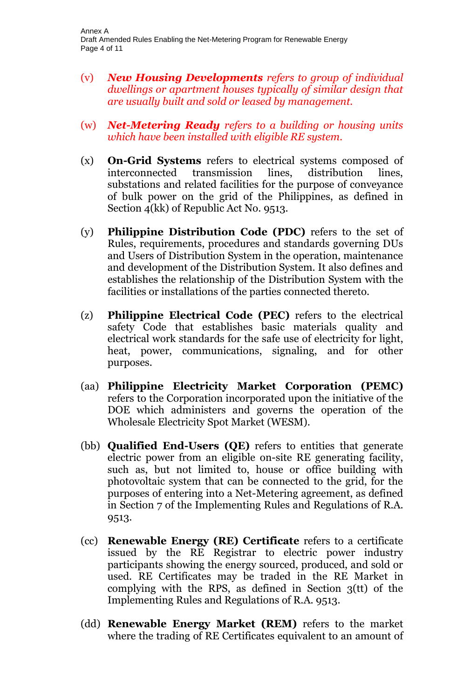- (v) *New Housing Developments refers to group of individual dwellings or apartment houses typically of similar design that are usually built and sold or leased by management.*
- (w) *Net-Metering Ready refers to a building or housing units which have been installed with eligible RE system.*
- (x) **On-Grid Systems** refers to electrical systems composed of interconnected transmission lines, distribution lines, substations and related facilities for the purpose of conveyance of bulk power on the grid of the Philippines, as defined in Section 4(kk) of Republic Act No. 9513.
- (y) **Philippine Distribution Code (PDC)** refers to the set of Rules, requirements, procedures and standards governing DUs and Users of Distribution System in the operation, maintenance and development of the Distribution System. It also defines and establishes the relationship of the Distribution System with the facilities or installations of the parties connected thereto.
- (z) **Philippine Electrical Code (PEC)** refers to the electrical safety Code that establishes basic materials quality and electrical work standards for the safe use of electricity for light, heat, power, communications, signaling, and for other purposes.
- (aa) **Philippine Electricity Market Corporation (PEMC)**  refers to the Corporation incorporated upon the initiative of the DOE which administers and governs the operation of the Wholesale Electricity Spot Market (WESM).
- (bb) **Qualified End-Users (QE)** refers to entities that generate electric power from an eligible on-site RE generating facility, such as, but not limited to, house or office building with photovoltaic system that can be connected to the grid, for the purposes of entering into a Net-Metering agreement, as defined in Section 7 of the Implementing Rules and Regulations of R.A. 9513.
- (cc) **Renewable Energy (RE) Certificate** refers to a certificate issued by the RE Registrar to electric power industry participants showing the energy sourced, produced, and sold or used. RE Certificates may be traded in the RE Market in complying with the RPS, as defined in Section 3(tt) of the Implementing Rules and Regulations of R.A. 9513.
- (dd) **Renewable Energy Market (REM)** refers to the market where the trading of RE Certificates equivalent to an amount of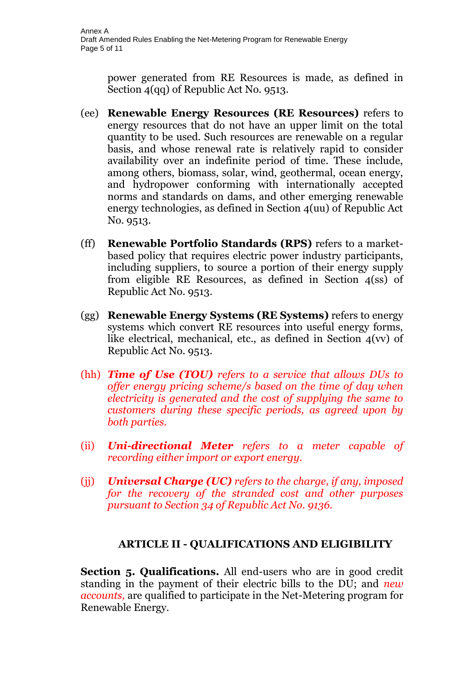power generated from RE Resources is made, as defined in Section 4(qq) of Republic Act No. 9513.

- (ee) **Renewable Energy Resources (RE Resources)** refers to energy resources that do not have an upper limit on the total quantity to be used. Such resources are renewable on a regular basis, and whose renewal rate is relatively rapid to consider availability over an indefinite period of time. These include, among others, biomass, solar, wind, geothermal, ocean energy, and hydropower conforming with internationally accepted norms and standards on dams, and other emerging renewable energy technologies, as defined in Section 4(uu) of Republic Act No. 9513.
- (ff) **Renewable Portfolio Standards (RPS)** refers to a marketbased policy that requires electric power industry participants, including suppliers, to source a portion of their energy supply from eligible RE Resources, as defined in Section 4(ss) of Republic Act No. 9513.
- (gg) **Renewable Energy Systems (RE Systems)** refers to energy systems which convert RE resources into useful energy forms, like electrical, mechanical, etc., as defined in Section 4(vv) of Republic Act No. 9513.
- (hh) *Time of Use (TOU) refers to a service that allows DUs to offer energy pricing scheme/s based on the time of day when electricity is generated and the cost of supplying the same to customers during these specific periods, as agreed upon by both parties.*
- (ii) *Uni-directional Meter refers to a meter capable of recording either import or export energy.*
- (jj) *Universal Charge (UC) refers to the charge, if any, imposed for the recovery of the stranded cost and other purposes pursuant to Section 34 of Republic Act No. 9136.*

# **ARTICLE II - QUALIFICATIONS AND ELIGIBILITY**

**Section 5. Qualifications.** All end-users who are in good credit standing in the payment of their electric bills to the DU; and *new accounts,* are qualified to participate in the Net-Metering program for Renewable Energy.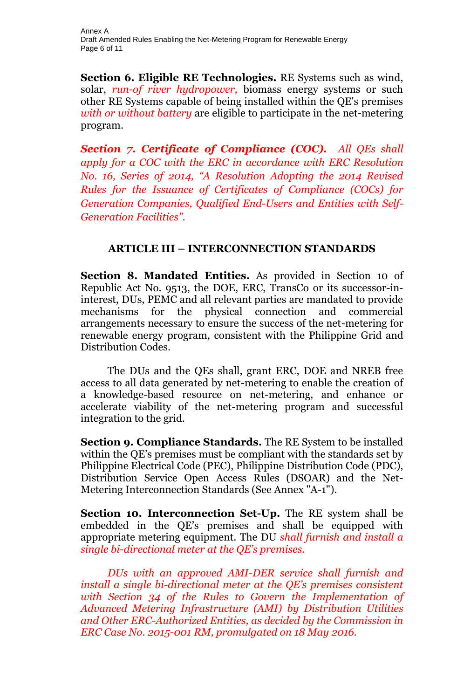**Section 6. Eligible RE Technologies.** RE Systems such as wind, solar, *run-of river hydropower,* biomass energy systems or such other RE Systems capable of being installed within the QE's premises *with or without battery* are eligible to participate in the net-metering program.

*Section 7. Certificate of Compliance (COC). All QEs shall apply for a COC with the ERC in accordance with ERC Resolution No. 16, Series of 2014, "A Resolution Adopting the 2014 Revised Rules for the Issuance of Certificates of Compliance (COCs) for Generation Companies, Qualified End-Users and Entities with Self-Generation Facilities".*

# **ARTICLE III – INTERCONNECTION STANDARDS**

**Section 8. Mandated Entities.** As provided in Section 10 of Republic Act No. 9513, the DOE, ERC, TransCo or its successor-ininterest, DUs, PEMC and all relevant parties are mandated to provide mechanisms for the physical connection and commercial arrangements necessary to ensure the success of the net-metering for renewable energy program, consistent with the Philippine Grid and Distribution Codes.

The DUs and the QEs shall, grant ERC, DOE and NREB free access to all data generated by net-metering to enable the creation of a knowledge-based resource on net-metering, and enhance or accelerate viability of the net-metering program and successful integration to the grid.

**Section 9. Compliance Standards.** The RE System to be installed within the QE's premises must be compliant with the standards set by Philippine Electrical Code (PEC), Philippine Distribution Code (PDC), Distribution Service Open Access Rules (DSOAR) and the Net-Metering Interconnection Standards (See Annex "A-1").

**Section 10. Interconnection Set-Up.** The RE system shall be embedded in the QE's premises and shall be equipped with appropriate metering equipment. The DU *shall furnish and install a single bi-directional meter at the QE's premises.* 

*DUs with an approved AMI-DER service shall furnish and install a single bi-directional meter at the QE's premises consistent with Section 34 of the Rules to Govern the Implementation of Advanced Metering Infrastructure (AMI) by Distribution Utilities and Other ERC-Authorized Entities, as decided by the Commission in ERC Case No. 2015-001 RM, promulgated on 18 May 2016.*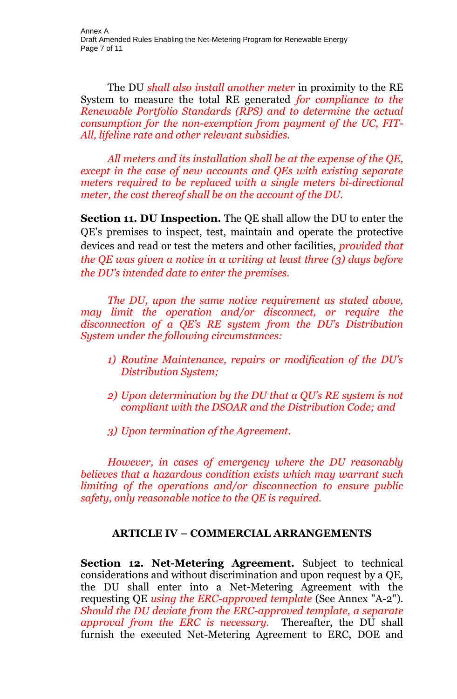The DU *shall also install another meter* in proximity to the RE System to measure the total RE generated *for compliance to the Renewable Portfolio Standards (RPS) and to determine the actual consumption for the non-exemption from payment of the UC, FIT-All, lifeline rate and other relevant subsidies.*

*All meters and its installation shall be at the expense of the QE, except in the case of new accounts and QEs with existing separate meters required to be replaced with a single meters bi-directional meter, the cost thereof shall be on the account of the DU.*

**Section 11. DU Inspection.** The QE shall allow the DU to enter the QE's premises to inspect, test, maintain and operate the protective devices and read or test the meters and other facilities, *provided that the QE was given a notice in a writing at least three (3) days before the DU's intended date to enter the premises.*

*The DU, upon the same notice requirement as stated above, may limit the operation and/or disconnect, or require the disconnection of a QE's RE system from the DU's Distribution System under the following circumstances:*

- *1) Routine Maintenance, repairs or modification of the DU's Distribution System;*
- *2) Upon determination by the DU that a QU's RE system is not compliant with the DSOAR and the Distribution Code; and*
- *3) Upon termination of the Agreement.*

*However, in cases of emergency where the DU reasonably believes that a hazardous condition exists which may warrant such limiting of the operations and/or disconnection to ensure public safety, only reasonable notice to the QE is required.*

# **ARTICLE IV – COMMERCIAL ARRANGEMENTS**

**Section 12. Net-Metering Agreement.** Subject to technical considerations and without discrimination and upon request by a QE, the DU shall enter into a Net-Metering Agreement with the requesting QE *using the ERC-approved template* (See Annex "A-2"). *Should the DU deviate from the ERC-approved template, a separate approval from the ERC is necessary.* Thereafter, the DU shall furnish the executed Net-Metering Agreement to ERC, DOE and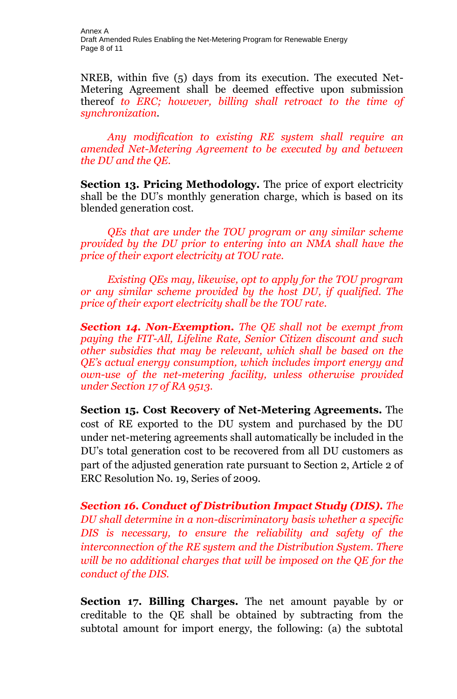NREB, within five (5) days from its execution. The executed Net-Metering Agreement shall be deemed effective upon submission thereof *to ERC; however, billing shall retroact to the time of synchronization.* 

*Any modification to existing RE system shall require an amended Net-Metering Agreement to be executed by and between the DU and the QE.*

**Section 13. Pricing Methodology.** The price of export electricity shall be the DU's monthly generation charge, which is based on its blended generation cost.

*QEs that are under the TOU program or any similar scheme provided by the DU prior to entering into an NMA shall have the price of their export electricity at TOU rate.*

*Existing QEs may, likewise, opt to apply for the TOU program or any similar scheme provided by the host DU, if qualified. The price of their export electricity shall be the TOU rate.*

*Section 14. Non-Exemption. The QE shall not be exempt from paying the FIT-All, Lifeline Rate, Senior Citizen discount and such other subsidies that may be relevant, which shall be based on the QE's actual energy consumption, which includes import energy and own-use of the net-metering facility, unless otherwise provided under Section 17 of RA 9513.*

**Section 15. Cost Recovery of Net-Metering Agreements.** The cost of RE exported to the DU system and purchased by the DU under net-metering agreements shall automatically be included in the DU's total generation cost to be recovered from all DU customers as part of the adjusted generation rate pursuant to Section 2, Article 2 of ERC Resolution No. 19, Series of 2009.

*Section 16. Conduct of Distribution Impact Study (DIS). The DU shall determine in a non-discriminatory basis whether a specific DIS is necessary, to ensure the reliability and safety of the interconnection of the RE system and the Distribution System. There will be no additional charges that will be imposed on the QE for the conduct of the DIS.*

**Section 17. Billing Charges.** The net amount payable by or creditable to the QE shall be obtained by subtracting from the subtotal amount for import energy, the following: (a) the subtotal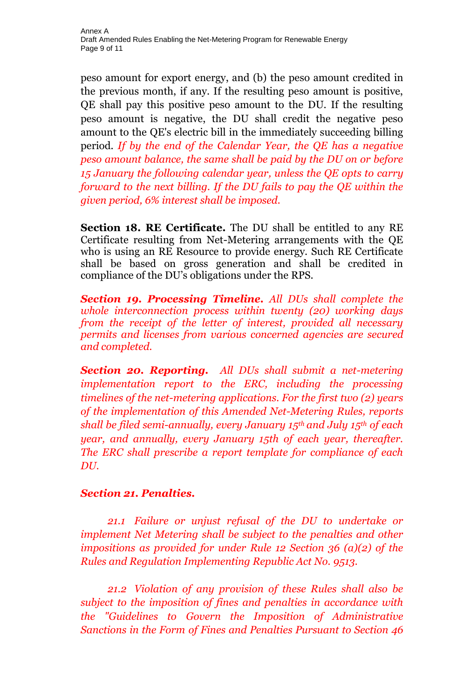peso amount for export energy, and (b) the peso amount credited in the previous month, if any. If the resulting peso amount is positive, QE shall pay this positive peso amount to the DU. If the resulting peso amount is negative, the DU shall credit the negative peso amount to the QE's electric bill in the immediately succeeding billing period. *If by the end of the Calendar Year, the QE has a negative peso amount balance, the same shall be paid by the DU on or before 15 January the following calendar year, unless the QE opts to carry forward to the next billing. If the DU fails to pay the QE within the given period, 6% interest shall be imposed.*

**Section 18. RE Certificate.** The DU shall be entitled to any RE Certificate resulting from Net-Metering arrangements with the QE who is using an RE Resource to provide energy. Such RE Certificate shall be based on gross generation and shall be credited in compliance of the DU's obligations under the RPS.

*Section 19. Processing Timeline. All DUs shall complete the whole interconnection process within twenty (20) working days from the receipt of the letter of interest, provided all necessary permits and licenses from various concerned agencies are secured and completed.*

*Section 20. Reporting. All DUs shall submit a net-metering implementation report to the ERC, including the processing timelines of the net-metering applications. For the first two (2) years of the implementation of this Amended Net-Metering Rules, reports shall be filed semi-annually, every January 15th and July 15th of each year, and annually, every January 15th of each year, thereafter. The ERC shall prescribe a report template for compliance of each DU.*

# *Section 21. Penalties.*

*21.1 Failure or unjust refusal of the DU to undertake or implement Net Metering shall be subject to the penalties and other impositions as provided for under Rule 12 Section 36 (a)(2) of the Rules and Regulation Implementing Republic Act No. 9513.*

*21.2 Violation of any provision of these Rules shall also be subject to the imposition of fines and penalties in accordance with the "Guidelines to Govern the Imposition of Administrative Sanctions in the Form of Fines and Penalties Pursuant to Section 46*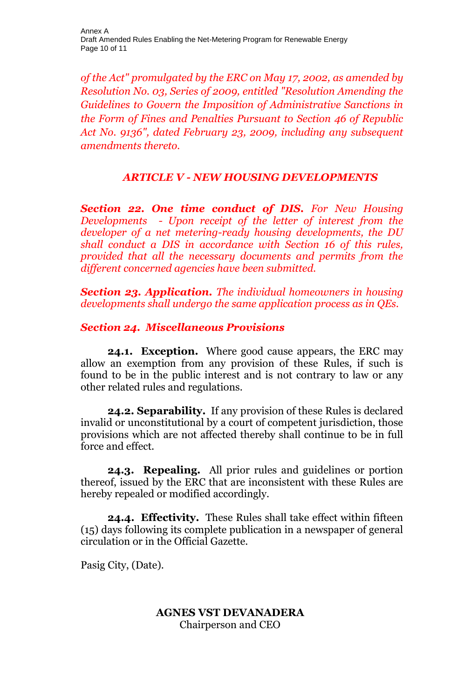*of the Act" promulgated by the ERC on May 17, 2002, as amended by Resolution No. 03, Series of 2009, entitled "Resolution Amending the Guidelines to Govern the Imposition of Administrative Sanctions in the Form of Fines and Penalties Pursuant to Section 46 of Republic Act No. 9136", dated February 23, 2009, including any subsequent amendments thereto.*

# *ARTICLE V - NEW HOUSING DEVELOPMENTS*

*Section 22. One time conduct of DIS. For New Housing Developments - Upon receipt of the letter of interest from the developer of a net metering-ready housing developments, the DU shall conduct a DIS in accordance with Section 16 of this rules, provided that all the necessary documents and permits from the different concerned agencies have been submitted.*

*Section 23. Application. The individual homeowners in housing developments shall undergo the same application process as in QEs.*

# *Section 24. Miscellaneous Provisions*

**24.1. Exception.** Where good cause appears, the ERC may allow an exemption from any provision of these Rules, if such is found to be in the public interest and is not contrary to law or any other related rules and regulations.

**24.2. Separability.** If any provision of these Rules is declared invalid or unconstitutional by a court of competent jurisdiction, those provisions which are not affected thereby shall continue to be in full force and effect.

**24.3. Repealing.** All prior rules and guidelines or portion thereof, issued by the ERC that are inconsistent with these Rules are hereby repealed or modified accordingly.

**24.4. Effectivity.** These Rules shall take effect within fifteen (15) days following its complete publication in a newspaper of general circulation or in the Official Gazette.

Pasig City, (Date).

#### **AGNES VST DEVANADERA** Chairperson and CEO